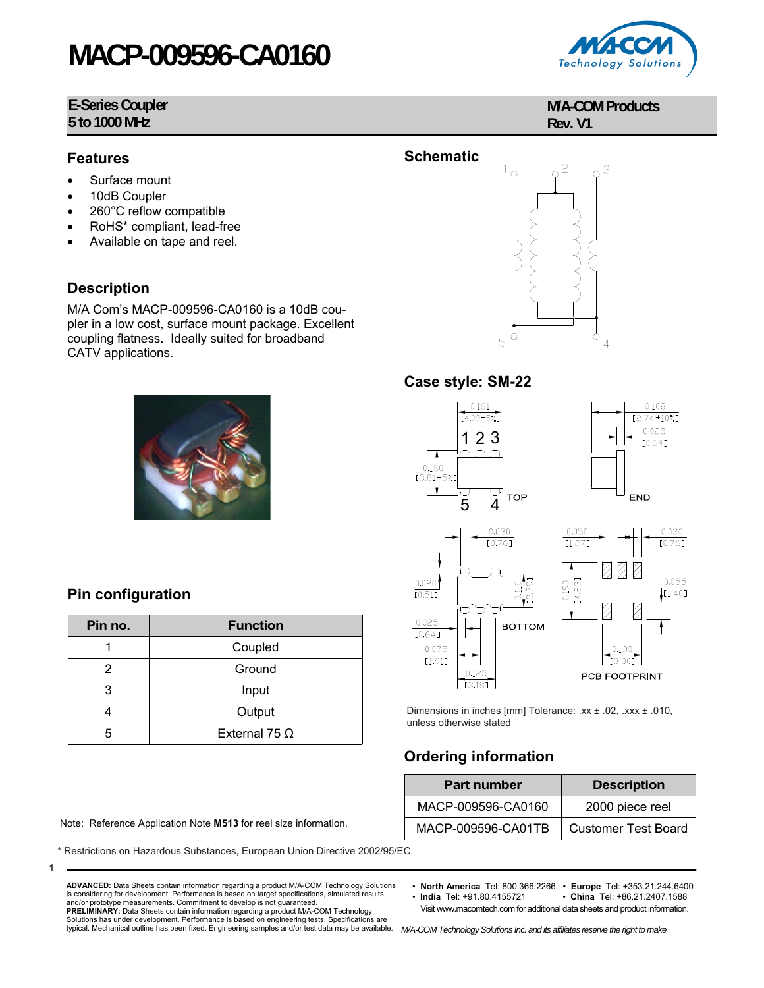# **MACP-009596-CA0160**

#### **E-Series Coupler 5 to 1000 MHz**



- Surface mount
- 10dB Coupler
- 260°C reflow compatible
- RoHS\* compliant, lead-free
- Available on tape and reel.

### **Description**

M/A Com's MACP-009596-CA0160 is a 10dB coupler in a low cost, surface mount package. Excellent coupling flatness. Ideally suited for broadband CATV applications.



### **Pin configuration**

1

| Pin no. | <b>Function</b>      |  |
|---------|----------------------|--|
|         | Coupled              |  |
| 2       | Ground               |  |
| 3       | Input                |  |
|         | Output               |  |
| 5       | External 75 $\Omega$ |  |

Note: Reference Application Note M513 for reel size information.

\* Restrictions on Hazardous Substances, European Union Directive 2002/95/EC.



**M/A-COM Products**

**Rev. V1**



#### **Case style: SM-22**



Dimensions in inches [mm] Tolerance: .xx ± .02, .xxx ± .010, unless otherwise stated

## **Ordering information**

| <b>Part number</b> | <b>Description</b>         |  |  |
|--------------------|----------------------------|--|--|
| MACP-009596-CA0160 | 2000 piece reel            |  |  |
| MACP-009596-CA01TB | <b>Customer Test Board</b> |  |  |

• **North America** Tel: 800.366.2266 • **Europe** Tel: +353.21.244.6400

• China Tel: +86.21.2407.1588 Visit www.macomtech.com for additional data sheets and product information.

typical. Mechanical outline has been fixed. Engineering samples and/or test data may be available. M/A-COM Technology Solutions Inc. and its affiliates reserve the right to make

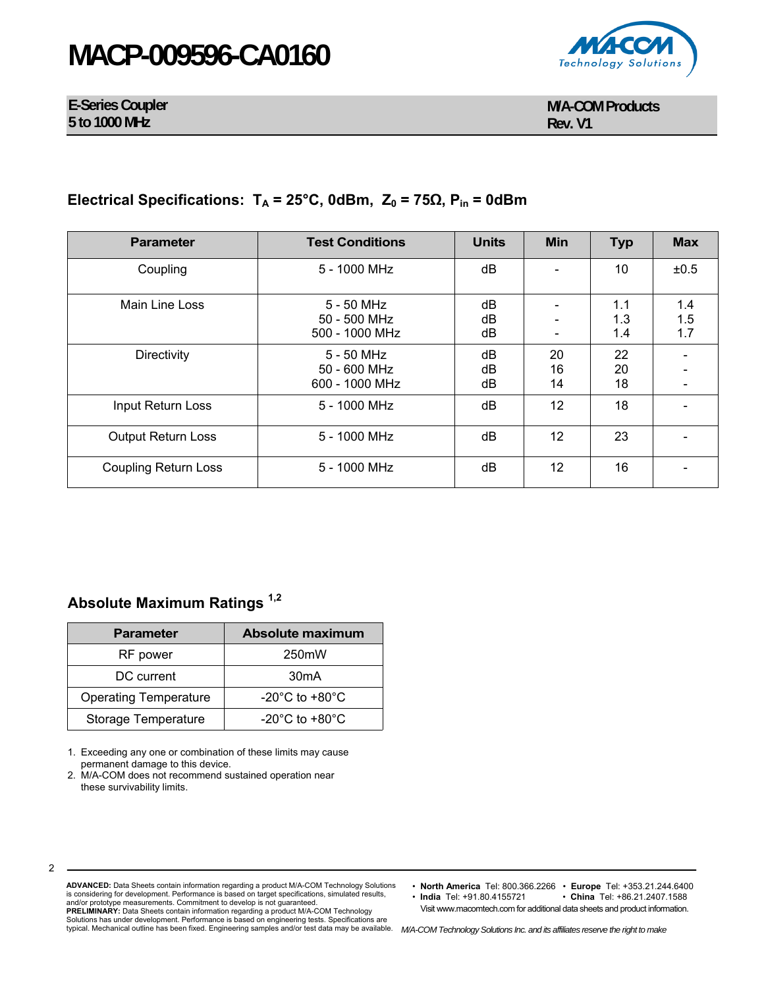# **MACP-009596-CA0160**



**E-Series Coupler 5 to 1000 MHz** 

## **Electrical Specifications:**  $T_A = 25^\circ$ C, 0dBm,  $Z_0 = 75Ω$ ,  $P_{in} = 0d$ Bm

| <b>Parameter</b>            | <b>Test Conditions</b>                         | <b>Units</b>   | Min            | <b>Typ</b>        | <b>Max</b>        |
|-----------------------------|------------------------------------------------|----------------|----------------|-------------------|-------------------|
| Coupling                    | 5 - 1000 MHz                                   | dB             |                | 10                | ±0.5              |
| Main Line Loss              | 5 - 50 MHz<br>50 - 500 MHz<br>500 - 1000 MHz   | dB<br>dB<br>dB |                | 1.1<br>1.3<br>1.4 | 1.4<br>1.5<br>1.7 |
| <b>Directivity</b>          | $5 - 50$ MHz<br>50 - 600 MHz<br>600 - 1000 MHz | dB<br>dB<br>dB | 20<br>16<br>14 | 22<br>20<br>18    |                   |
| Input Return Loss           | 5 - 1000 MHz                                   | dB             | 12             | 18                |                   |
| Output Return Loss          | 5 - 1000 MHz                                   | dB             | 12             | 23                |                   |
| <b>Coupling Return Loss</b> | 5 - 1000 MHz                                   | dB             | 12             | 16                |                   |

### **Absolute Maximum Ratings 1,2**

| <b>Parameter</b>             | Absolute maximum                   |  |  |
|------------------------------|------------------------------------|--|--|
| RF power                     | 250 <sub>m</sub> W                 |  |  |
| DC current                   | 30 <sub>m</sub> A                  |  |  |
| <b>Operating Temperature</b> | $-20^{\circ}$ C to $+80^{\circ}$ C |  |  |
| <b>Storage Temperature</b>   | $-20^{\circ}$ C to $+80^{\circ}$ C |  |  |

1. Exceeding any one or combination of these limits may cause permanent damage to this device.

2. M/A-COM does not recommend sustained operation near these survivability limits.

2

**ADVANCED:** Data Sheets contain information regarding a product M/A-COM Technology Solutions is considering for development. Performance is based on target specifications, simulated results, and/or prototype measurements. Commitment to develop is not guaranteed. **PRELIMINARY:** Data Sheets contain information regarding a product M/A-COM Technology<br>Solutions has under development. Performance is based on engineering tests. Specifications are<br>typical. Mechanical outline has been fixe

• **North America** Tel: 800.366.2266 • **Europe** Tel: +353.21.244.6400

 $\cdot$  **China** Tel: +86.21.2407.1588 Visit www.macomtech.com for additional data sheets and product information.

*M/A-COM Technology Solutions Inc. and its affiliates reserve the right to make*